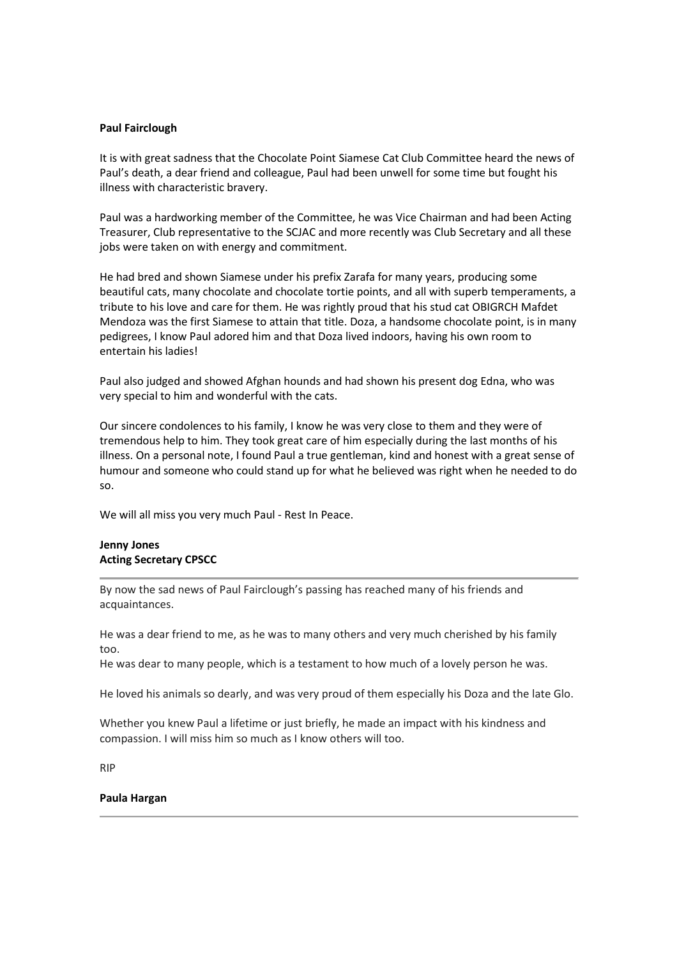## Paul Fairclough

It is with great sadness that the Chocolate Point Siamese Cat Club Committee heard the news of Paul's death, a dear friend and colleague, Paul had been unwell for some time but fought his illness with characteristic bravery.

Paul was a hardworking member of the Committee, he was Vice Chairman and had been Acting Treasurer, Club representative to the SCJAC and more recently was Club Secretary and all these jobs were taken on with energy and commitment.

He had bred and shown Siamese under his prefix Zarafa for many years, producing some beautiful cats, many chocolate and chocolate tortie points, and all with superb temperaments, a tribute to his love and care for them. He was rightly proud that his stud cat OBIGRCH Mafdet Mendoza was the first Siamese to attain that title. Doza, a handsome chocolate point, is in many pedigrees, I know Paul adored him and that Doza lived indoors, having his own room to entertain his ladies!

Paul also judged and showed Afghan hounds and had shown his present dog Edna, who was very special to him and wonderful with the cats.

Our sincere condolences to his family, I know he was very close to them and they were of tremendous help to him. They took great care of him especially during the last months of his illness. On a personal note, I found Paul a true gentleman, kind and honest with a great sense of humour and someone who could stand up for what he believed was right when he needed to do so.

We will all miss you very much Paul - Rest In Peace.

## Jenny Jones Acting Secretary CPSCC

By now the sad news of Paul Fairclough's passing has reached many of his friends and acquaintances.

He was a dear friend to me, as he was to many others and very much cherished by his family too.

He was dear to many people, which is a testament to how much of a lovely person he was.

He loved his animals so dearly, and was very proud of them especially his Doza and the late Glo.

Whether you knew Paul a lifetime or just briefly, he made an impact with his kindness and compassion. I will miss him so much as I know others will too.

RIP

## Paula Hargan